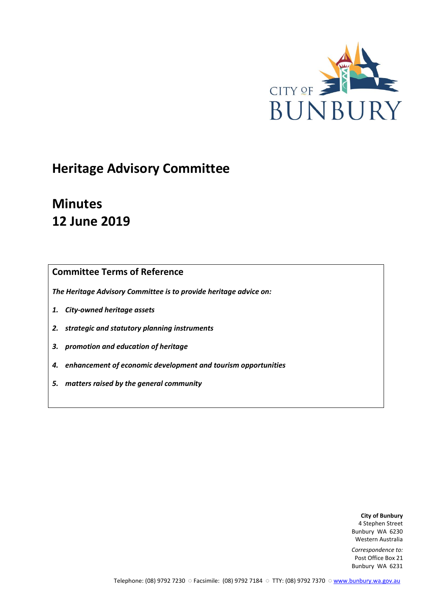

# **Heritage Advisory Committee**

# **Minutes 12 June 2019**

# **Committee Terms of Reference**

*The Heritage Advisory Committee is to provide heritage advice on:*

- *1. City-owned heritage assets*
- *2. strategic and statutory planning instruments*
- *3. promotion and education of heritage*
- *4. enhancement of economic development and tourism opportunities*
- *5. matters raised by the general community*

**City of Bunbury** 4 Stephen Street Bunbury WA 6230 Western Australia

*Correspondence to:* Post Office Box 21 Bunbury WA 6231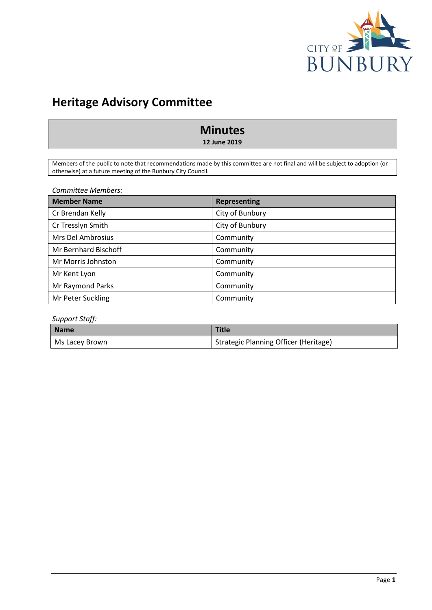

# **Heritage Advisory Committee**

# **Minutes**

**12 June 2019**

Members of the public to note that recommendations made by this committee are not final and will be subject to adoption (or otherwise) at a future meeting of the Bunbury City Council.

*Committee Members:*

| <b>Member Name</b>   | <b>Representing</b> |
|----------------------|---------------------|
| Cr Brendan Kelly     | City of Bunbury     |
| Cr Tresslyn Smith    | City of Bunbury     |
| Mrs Del Ambrosius    | Community           |
| Mr Bernhard Bischoff | Community           |
| Mr Morris Johnston   | Community           |
| Mr Kent Lyon         | Community           |
| Mr Raymond Parks     | Community           |
| Mr Peter Suckling    | Community           |

# *Support Staff:*

| <b>Name</b>    | <b>Title</b>                          |
|----------------|---------------------------------------|
| Ms Lacey Brown | Strategic Planning Officer (Heritage) |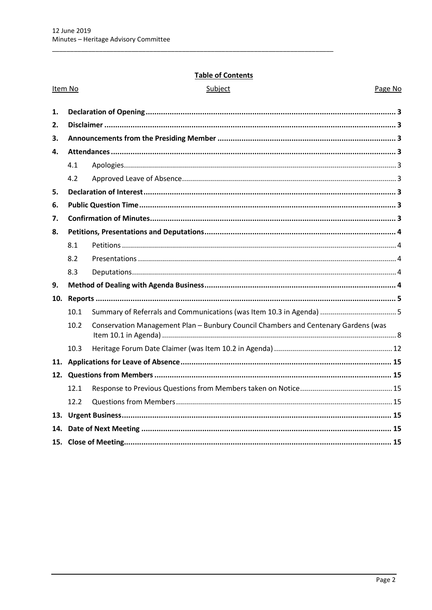# **Table of Contents**

|     | Item No | Subject                                                                            | Page No |
|-----|---------|------------------------------------------------------------------------------------|---------|
| 1.  |         |                                                                                    |         |
| 2.  |         |                                                                                    |         |
| 3.  |         |                                                                                    |         |
| 4.  |         |                                                                                    |         |
|     | 4.1     |                                                                                    |         |
|     | 4.2     |                                                                                    |         |
| 5.  |         |                                                                                    |         |
| 6.  |         |                                                                                    |         |
| 7.  |         |                                                                                    |         |
| 8.  |         |                                                                                    |         |
|     | 8.1     |                                                                                    |         |
|     | 8.2     |                                                                                    |         |
|     | 8.3     |                                                                                    |         |
| 9.  |         |                                                                                    |         |
| 10. |         |                                                                                    |         |
|     | 10.1    |                                                                                    |         |
|     | 10.2    | Conservation Management Plan - Bunbury Council Chambers and Centenary Gardens (was |         |
|     | 10.3    |                                                                                    |         |
|     |         |                                                                                    |         |
|     |         |                                                                                    |         |
|     | 12.1    |                                                                                    |         |
|     | 12.2    |                                                                                    |         |
| 13. |         |                                                                                    |         |
| 14. |         |                                                                                    |         |
|     |         |                                                                                    |         |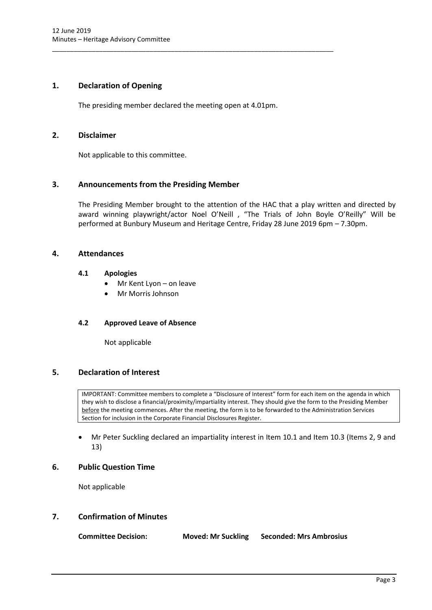# <span id="page-3-0"></span>**1. Declaration of Opening**

The presiding member declared the meeting open at 4.01pm.

\_\_\_\_\_\_\_\_\_\_\_\_\_\_\_\_\_\_\_\_\_\_\_\_\_\_\_\_\_\_\_\_\_\_\_\_\_\_\_\_\_\_\_\_\_\_\_\_\_\_\_\_\_\_\_\_\_\_\_\_\_\_\_\_\_\_\_\_\_\_\_\_\_\_\_\_\_\_

# <span id="page-3-1"></span>**2. Disclaimer**

Not applicable to this committee.

# <span id="page-3-2"></span>**3. Announcements from the Presiding Member**

The Presiding Member brought to the attention of the HAC that a play written and directed by award winning playwright/actor Noel O'Neill , "The Trials of John Boyle O'Reilly" Will be performed at Bunbury Museum and Heritage Centre, Friday 28 June 2019 6pm – 7.30pm.

# <span id="page-3-4"></span><span id="page-3-3"></span>**4. Attendances**

# **4.1 Apologies**

- Mr Kent Lyon on leave
- Mr Morris Johnson

# <span id="page-3-5"></span>**4.2 Approved Leave of Absence**

Not applicable

# <span id="page-3-6"></span>**5. Declaration of Interest**

IMPORTANT: Committee members to complete a "Disclosure of Interest" form for each item on the agenda in which they wish to disclose a financial/proximity/impartiality interest. They should give the form to the Presiding Member before the meeting commences. After the meeting, the form is to be forwarded to the Administration Services Section for inclusion in the Corporate Financial Disclosures Register.

 Mr Peter Suckling declared an impartiality interest in Item 10.1 and Item 10.3 (Items 2, 9 and 13)

# <span id="page-3-7"></span>**6. Public Question Time**

Not applicable

# <span id="page-3-8"></span>**7. Confirmation of Minutes**

| <b>Committee Decision:</b> | <b>Moved: Mr Suckling</b> | <b>Seconded: Mrs Ambrosius</b> |
|----------------------------|---------------------------|--------------------------------|
|----------------------------|---------------------------|--------------------------------|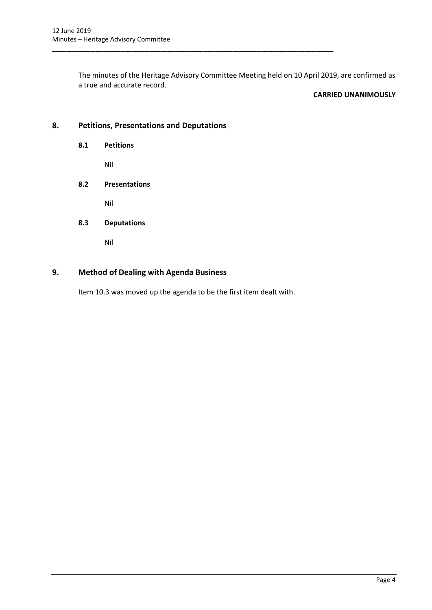The minutes of the Heritage Advisory Committee Meeting held on 10 April 2019, are confirmed as a true and accurate record.

\_\_\_\_\_\_\_\_\_\_\_\_\_\_\_\_\_\_\_\_\_\_\_\_\_\_\_\_\_\_\_\_\_\_\_\_\_\_\_\_\_\_\_\_\_\_\_\_\_\_\_\_\_\_\_\_\_\_\_\_\_\_\_\_\_\_\_\_\_\_\_\_\_\_\_\_\_\_

# **CARRIED UNANIMOUSLY**

# <span id="page-4-1"></span><span id="page-4-0"></span>**8. Petitions, Presentations and Deputations**

**8.1 Petitions**

Nil

# <span id="page-4-2"></span>**8.2 Presentations**

Nil

# <span id="page-4-3"></span>**8.3 Deputations**

Nil

# <span id="page-4-4"></span>**9. Method of Dealing with Agenda Business**

Item 10.3 was moved up the agenda to be the first item dealt with.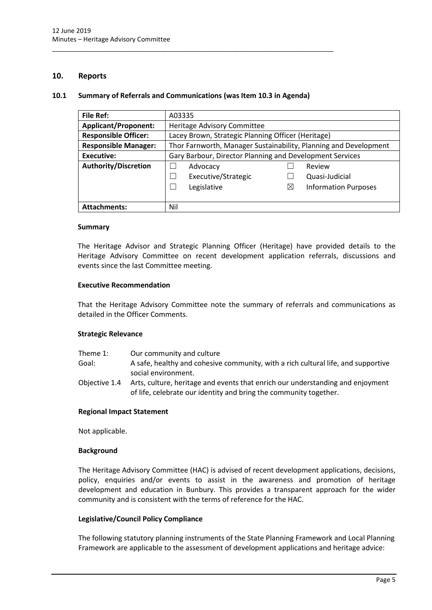# <span id="page-5-0"></span>**10. Reports**

# <span id="page-5-1"></span>**10.1 Summary of Referrals and Communications (was Item 10.3 in Agenda)**

\_\_\_\_\_\_\_\_\_\_\_\_\_\_\_\_\_\_\_\_\_\_\_\_\_\_\_\_\_\_\_\_\_\_\_\_\_\_\_\_\_\_\_\_\_\_\_\_\_\_\_\_\_\_\_\_\_\_\_\_\_\_\_\_\_\_\_\_\_\_\_\_\_\_\_\_\_\_

| <b>File Ref:</b>            | A03335                                                           |                                                    |                             |  |
|-----------------------------|------------------------------------------------------------------|----------------------------------------------------|-----------------------------|--|
| <b>Applicant/Proponent:</b> | Heritage Advisory Committee                                      |                                                    |                             |  |
| <b>Responsible Officer:</b> |                                                                  | Lacey Brown, Strategic Planning Officer (Heritage) |                             |  |
| <b>Responsible Manager:</b> | Thor Farnworth, Manager Sustainability, Planning and Development |                                                    |                             |  |
| <b>Executive:</b>           | Gary Barbour, Director Planning and Development Services         |                                                    |                             |  |
| <b>Authority/Discretion</b> | Advocacy                                                         |                                                    | Review                      |  |
|                             | Executive/Strategic                                              |                                                    | Quasi-Judicial              |  |
|                             | Legislative                                                      | $\boxtimes$                                        | <b>Information Purposes</b> |  |
|                             |                                                                  |                                                    |                             |  |
| <b>Attachments:</b>         | Nil                                                              |                                                    |                             |  |

#### **Summary**

The Heritage Advisor and Strategic Planning Officer (Heritage) have provided details to the Heritage Advisory Committee on recent development application referrals, discussions and events since the last Committee meeting.

#### **Executive Recommendation**

That the Heritage Advisory Committee note the summary of referrals and communications as detailed in the Officer Comments.

# **Strategic Relevance**

- Theme 1: Our community and culture
- Goal: A safe, healthy and cohesive community, with a rich cultural life, and supportive social environment.
- Objective 1.4 Arts, culture, heritage and events that enrich our understanding and enjoyment of life, celebrate our identity and bring the community together.

# **Regional Impact Statement**

Not applicable.

#### **Background**

The Heritage Advisory Committee (HAC) is advised of recent development applications, decisions, policy, enquiries and/or events to assist in the awareness and promotion of heritage development and education in Bunbury. This provides a transparent approach for the wider community and is consistent with the terms of reference for the HAC.

# **Legislative/Council Policy Compliance**

The following statutory planning instruments of the State Planning Framework and Local Planning Framework are applicable to the assessment of development applications and heritage advice: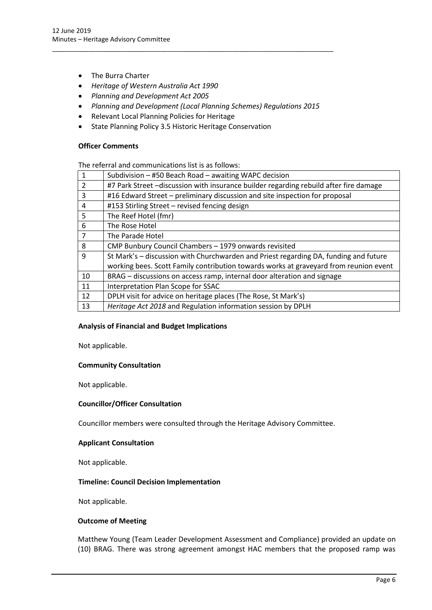- The Burra Charter
- *Heritage of Western Australia Act 1990*
- *Planning and Development Act 2005*
- *Planning and Development (Local Planning Schemes) Regulations 2015*

\_\_\_\_\_\_\_\_\_\_\_\_\_\_\_\_\_\_\_\_\_\_\_\_\_\_\_\_\_\_\_\_\_\_\_\_\_\_\_\_\_\_\_\_\_\_\_\_\_\_\_\_\_\_\_\_\_\_\_\_\_\_\_\_\_\_\_\_\_\_\_\_\_\_\_\_\_\_

- Relevant Local Planning Policies for Heritage
- State Planning Policy 3.5 Historic Heritage Conservation

# **Officer Comments**

The referral and communications list is as follows:

| $\mathbf 1$    | Subdivision - #50 Beach Road - awaiting WAPC decision                                 |  |
|----------------|---------------------------------------------------------------------------------------|--|
| $\mathcal{P}$  | #7 Park Street -discussion with insurance builder regarding rebuild after fire damage |  |
| 3              | #16 Edward Street - preliminary discussion and site inspection for proposal           |  |
| 4              | #153 Stirling Street - revised fencing design                                         |  |
| 5              | The Reef Hotel (fmr)                                                                  |  |
| 6              | The Rose Hotel                                                                        |  |
| $\overline{7}$ | The Parade Hotel                                                                      |  |
| 8              | CMP Bunbury Council Chambers - 1979 onwards revisited                                 |  |
| 9              | St Mark's - discussion with Churchwarden and Priest regarding DA, funding and future  |  |
|                | working bees. Scott Family contribution towards works at graveyard from reunion event |  |
| 10             | BRAG - discussions on access ramp, internal door alteration and signage               |  |
| 11             | Interpretation Plan Scope for SSAC                                                    |  |
| 12             | DPLH visit for advice on heritage places (The Rose, St Mark's)                        |  |
| 13             | Heritage Act 2018 and Regulation information session by DPLH                          |  |

# **Analysis of Financial and Budget Implications**

Not applicable.

# **Community Consultation**

Not applicable.

# **Councillor/Officer Consultation**

Councillor members were consulted through the Heritage Advisory Committee.

# **Applicant Consultation**

Not applicable.

# **Timeline: Council Decision Implementation**

Not applicable.

# **Outcome of Meeting**

Matthew Young (Team Leader Development Assessment and Compliance) provided an update on (10) BRAG. There was strong agreement amongst HAC members that the proposed ramp was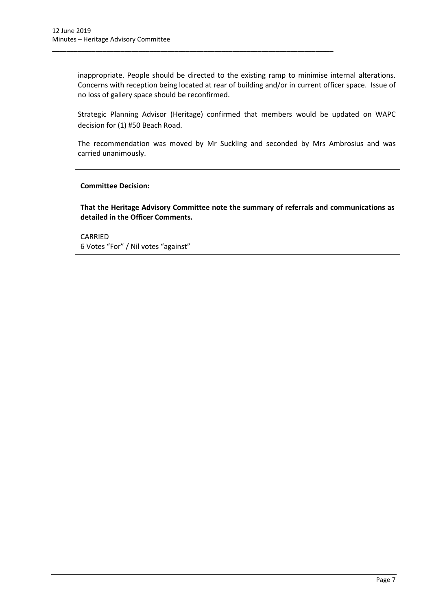inappropriate. People should be directed to the existing ramp to minimise internal alterations. Concerns with reception being located at rear of building and/or in current officer space. Issue of no loss of gallery space should be reconfirmed.

\_\_\_\_\_\_\_\_\_\_\_\_\_\_\_\_\_\_\_\_\_\_\_\_\_\_\_\_\_\_\_\_\_\_\_\_\_\_\_\_\_\_\_\_\_\_\_\_\_\_\_\_\_\_\_\_\_\_\_\_\_\_\_\_\_\_\_\_\_\_\_\_\_\_\_\_\_\_

Strategic Planning Advisor (Heritage) confirmed that members would be updated on WAPC decision for (1) #50 Beach Road.

The recommendation was moved by Mr Suckling and seconded by Mrs Ambrosius and was carried unanimously.

**Committee Decision:**

**That the Heritage Advisory Committee note the summary of referrals and communications as detailed in the Officer Comments.**

CARRIED 6 Votes "For" / Nil votes "against"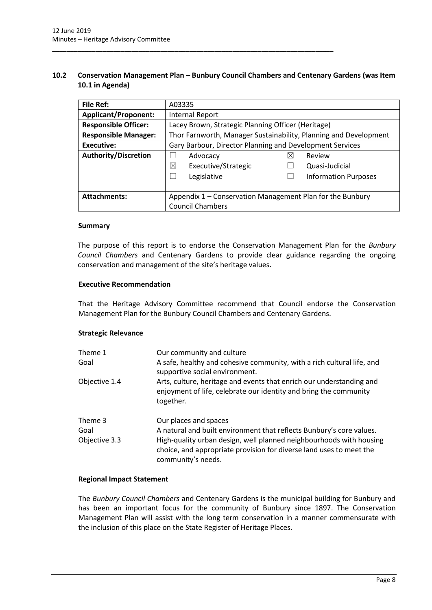# <span id="page-8-0"></span>**10.2 Conservation Management Plan – Bunbury Council Chambers and Centenary Gardens (was Item 10.1 in Agenda)**

\_\_\_\_\_\_\_\_\_\_\_\_\_\_\_\_\_\_\_\_\_\_\_\_\_\_\_\_\_\_\_\_\_\_\_\_\_\_\_\_\_\_\_\_\_\_\_\_\_\_\_\_\_\_\_\_\_\_\_\_\_\_\_\_\_\_\_\_\_\_\_\_\_\_\_\_\_\_

| <b>File Ref:</b>            | A03335                                                           |                                                    |                             |  |
|-----------------------------|------------------------------------------------------------------|----------------------------------------------------|-----------------------------|--|
| <b>Applicant/Proponent:</b> | Internal Report                                                  |                                                    |                             |  |
| <b>Responsible Officer:</b> |                                                                  | Lacey Brown, Strategic Planning Officer (Heritage) |                             |  |
| <b>Responsible Manager:</b> | Thor Farnworth, Manager Sustainability, Planning and Development |                                                    |                             |  |
| Executive:                  | Gary Barbour, Director Planning and Development Services         |                                                    |                             |  |
| Authority/Discretion        | Advocacy                                                         | $\boxtimes$                                        | Review                      |  |
|                             | ⊠<br>Executive/Strategic                                         |                                                    | Quasi-Judicial              |  |
|                             | Legislative                                                      |                                                    | <b>Information Purposes</b> |  |
|                             |                                                                  |                                                    |                             |  |
| <b>Attachments:</b>         | Appendix 1 – Conservation Management Plan for the Bunbury        |                                                    |                             |  |
|                             | <b>Council Chambers</b>                                          |                                                    |                             |  |

#### **Summary**

The purpose of this report is to endorse the Conservation Management Plan for the *Bunbury Council Chambers* and Centenary Gardens to provide clear guidance regarding the ongoing conservation and management of the site's heritage values.

#### **Executive Recommendation**

That the Heritage Advisory Committee recommend that Council endorse the Conservation Management Plan for the Bunbury Council Chambers and Centenary Gardens.

# **Strategic Relevance**

| Theme 1<br>Goal                  | Our community and culture<br>A safe, healthy and cohesive community, with a rich cultural life, and<br>supportive social environment.                                                                                                                             |
|----------------------------------|-------------------------------------------------------------------------------------------------------------------------------------------------------------------------------------------------------------------------------------------------------------------|
| Objective 1.4                    | Arts, culture, heritage and events that enrich our understanding and<br>enjoyment of life, celebrate our identity and bring the community<br>together.                                                                                                            |
| Theme 3<br>Goal<br>Objective 3.3 | Our places and spaces<br>A natural and built environment that reflects Bunbury's core values.<br>High-quality urban design, well planned neighbourhoods with housing<br>choice, and appropriate provision for diverse land uses to meet the<br>community's needs. |

# **Regional Impact Statement**

The *Bunbury Council Chambers* and Centenary Gardens is the municipal building for Bunbury and has been an important focus for the community of Bunbury since 1897. The Conservation Management Plan will assist with the long term conservation in a manner commensurate with the inclusion of this place on the State Register of Heritage Places.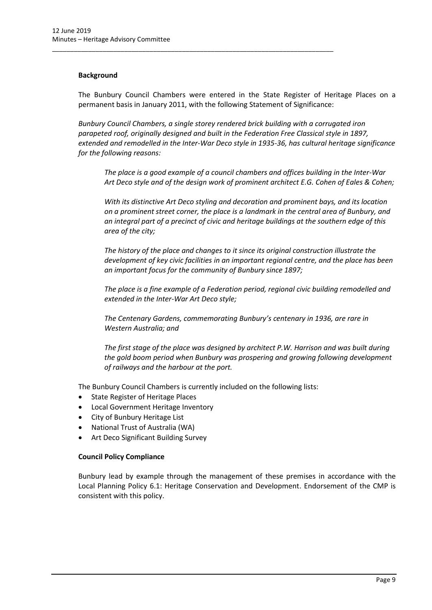# **Background**

The Bunbury Council Chambers were entered in the State Register of Heritage Places on a permanent basis in January 2011, with the following Statement of Significance:

\_\_\_\_\_\_\_\_\_\_\_\_\_\_\_\_\_\_\_\_\_\_\_\_\_\_\_\_\_\_\_\_\_\_\_\_\_\_\_\_\_\_\_\_\_\_\_\_\_\_\_\_\_\_\_\_\_\_\_\_\_\_\_\_\_\_\_\_\_\_\_\_\_\_\_\_\_\_

*Bunbury Council Chambers, a single storey rendered brick building with a corrugated iron parapeted roof, originally designed and built in the Federation Free Classical style in 1897, extended and remodelled in the Inter-War Deco style in 1935-36, has cultural heritage significance for the following reasons:*

*The place is a good example of a council chambers and offices building in the Inter-War Art Deco style and of the design work of prominent architect E.G. Cohen of Eales & Cohen;*

*With its distinctive Art Deco styling and decoration and prominent bays, and its location on a prominent street corner, the place is a landmark in the central area of Bunbury, and an integral part of a precinct of civic and heritage buildings at the southern edge of this area of the city;*

*The history of the place and changes to it since its original construction illustrate the development of key civic facilities in an important regional centre, and the place has been an important focus for the community of Bunbury since 1897;*

*The place is a fine example of a Federation period, regional civic building remodelled and extended in the Inter-War Art Deco style;*

*The Centenary Gardens, commemorating Bunbury's centenary in 1936, are rare in Western Australia; and*

*The first stage of the place was designed by architect P.W. Harrison and was built during the gold boom period when Bunbury was prospering and growing following development of railways and the harbour at the port.*

The Bunbury Council Chambers is currently included on the following lists:

- State Register of Heritage Places
- Local Government Heritage Inventory
- City of Bunbury Heritage List
- National Trust of Australia (WA)
- Art Deco Significant Building Survey

# **Council Policy Compliance**

Bunbury lead by example through the management of these premises in accordance with the Local Planning Policy 6.1: Heritage Conservation and Development. Endorsement of the CMP is consistent with this policy.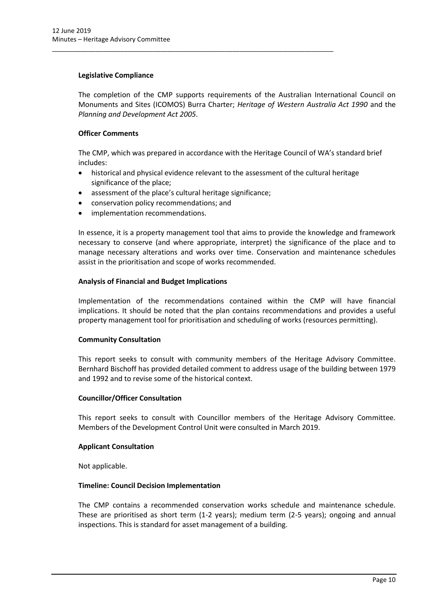# **Legislative Compliance**

The completion of the CMP supports requirements of the Australian International Council on Monuments and Sites (ICOMOS) Burra Charter; *Heritage of Western Australia Act 1990* and the *Planning and Development Act 2005*.

# **Officer Comments**

The CMP, which was prepared in accordance with the Heritage Council of WA's standard brief includes:

- historical and physical evidence relevant to the assessment of the cultural heritage significance of the place;
- assessment of the place's cultural heritage significance;

\_\_\_\_\_\_\_\_\_\_\_\_\_\_\_\_\_\_\_\_\_\_\_\_\_\_\_\_\_\_\_\_\_\_\_\_\_\_\_\_\_\_\_\_\_\_\_\_\_\_\_\_\_\_\_\_\_\_\_\_\_\_\_\_\_\_\_\_\_\_\_\_\_\_\_\_\_\_

- conservation policy recommendations; and
- implementation recommendations.

In essence, it is a property management tool that aims to provide the knowledge and framework necessary to conserve (and where appropriate, interpret) the significance of the place and to manage necessary alterations and works over time. Conservation and maintenance schedules assist in the prioritisation and scope of works recommended.

# **Analysis of Financial and Budget Implications**

Implementation of the recommendations contained within the CMP will have financial implications. It should be noted that the plan contains recommendations and provides a useful property management tool for prioritisation and scheduling of works (resources permitting).

# **Community Consultation**

This report seeks to consult with community members of the Heritage Advisory Committee. Bernhard Bischoff has provided detailed comment to address usage of the building between 1979 and 1992 and to revise some of the historical context.

# **Councillor/Officer Consultation**

This report seeks to consult with Councillor members of the Heritage Advisory Committee. Members of the Development Control Unit were consulted in March 2019.

# **Applicant Consultation**

Not applicable.

# **Timeline: Council Decision Implementation**

The CMP contains a recommended conservation works schedule and maintenance schedule. These are prioritised as short term (1-2 years); medium term (2-5 years); ongoing and annual inspections. This is standard for asset management of a building.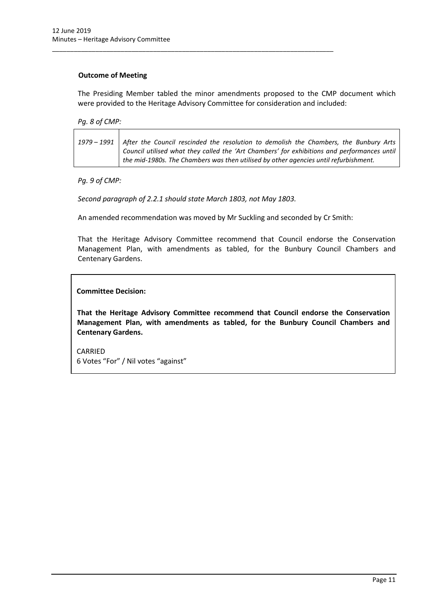# **Outcome of Meeting**

The Presiding Member tabled the minor amendments proposed to the CMP document which were provided to the Heritage Advisory Committee for consideration and included:

*Pg. 8 of CMP:*

| 1979 - 1991   After the Council rescinded the resolution to demolish the Chambers, the Bunbury Arts |
|-----------------------------------------------------------------------------------------------------|
| Council utilised what they called the 'Art Chambers' for exhibitions and performances until         |
| $\pm$ the mid-1980s. The Chambers was then utilised by other agencies until refurbishment.          |

*Pg. 9 of CMP:*

*Second paragraph of 2.2.1 should state March 1803, not May 1803.*

\_\_\_\_\_\_\_\_\_\_\_\_\_\_\_\_\_\_\_\_\_\_\_\_\_\_\_\_\_\_\_\_\_\_\_\_\_\_\_\_\_\_\_\_\_\_\_\_\_\_\_\_\_\_\_\_\_\_\_\_\_\_\_\_\_\_\_\_\_\_\_\_\_\_\_\_\_\_

An amended recommendation was moved by Mr Suckling and seconded by Cr Smith:

That the Heritage Advisory Committee recommend that Council endorse the Conservation Management Plan, with amendments as tabled, for the Bunbury Council Chambers and Centenary Gardens.

**Committee Decision:**

**That the Heritage Advisory Committee recommend that Council endorse the Conservation Management Plan, with amendments as tabled, for the Bunbury Council Chambers and Centenary Gardens.**

CARRIED 6 Votes "For" / Nil votes "against"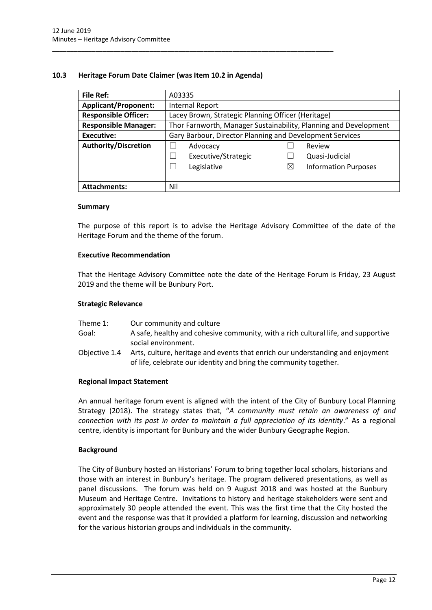# <span id="page-12-0"></span>**10.3 Heritage Forum Date Claimer (was Item 10.2 in Agenda)**

\_\_\_\_\_\_\_\_\_\_\_\_\_\_\_\_\_\_\_\_\_\_\_\_\_\_\_\_\_\_\_\_\_\_\_\_\_\_\_\_\_\_\_\_\_\_\_\_\_\_\_\_\_\_\_\_\_\_\_\_\_\_\_\_\_\_\_\_\_\_\_\_\_\_\_\_\_\_

| <b>File Ref:</b>            | A03335                                                           |                                                    |                             |  |
|-----------------------------|------------------------------------------------------------------|----------------------------------------------------|-----------------------------|--|
| <b>Applicant/Proponent:</b> | <b>Internal Report</b>                                           |                                                    |                             |  |
| <b>Responsible Officer:</b> |                                                                  | Lacey Brown, Strategic Planning Officer (Heritage) |                             |  |
| <b>Responsible Manager:</b> | Thor Farnworth, Manager Sustainability, Planning and Development |                                                    |                             |  |
| <b>Executive:</b>           | Gary Barbour, Director Planning and Development Services         |                                                    |                             |  |
| <b>Authority/Discretion</b> | Advocacy<br>Review                                               |                                                    |                             |  |
|                             | Executive/Strategic                                              |                                                    | Quasi-Judicial              |  |
|                             | Legislative                                                      | $\boxtimes$                                        | <b>Information Purposes</b> |  |
|                             |                                                                  |                                                    |                             |  |
| <b>Attachments:</b>         | Nil                                                              |                                                    |                             |  |

#### **Summary**

The purpose of this report is to advise the Heritage Advisory Committee of the date of the Heritage Forum and the theme of the forum.

# **Executive Recommendation**

That the Heritage Advisory Committee note the date of the Heritage Forum is Friday, 23 August 2019 and the theme will be Bunbury Port.

#### **Strategic Relevance**

| Theme 1: | Our community and culture                                                                                            |
|----------|----------------------------------------------------------------------------------------------------------------------|
| Goal:    | A safe, healthy and cohesive community, with a rich cultural life, and supportive                                    |
|          | social environment.                                                                                                  |
|          | . A single collisted the structure of the content of the collection of the state of the collection of the collection |

Objective 1.4 Arts, culture, heritage and events that enrich our understanding and enjoyment of life, celebrate our identity and bring the community together.

# **Regional Impact Statement**

An annual heritage forum event is aligned with the intent of the City of Bunbury Local Planning Strategy (2018). The strategy states that, "*A community must retain an awareness of and connection with its past in order to maintain a full appreciation of its identity*." As a regional centre, identity is important for Bunbury and the wider Bunbury Geographe Region.

# **Background**

The City of Bunbury hosted an Historians' Forum to bring together local scholars, historians and those with an interest in Bunbury's heritage. The program delivered presentations, as well as panel discussions. The forum was held on 9 August 2018 and was hosted at the Bunbury Museum and Heritage Centre. Invitations to history and heritage stakeholders were sent and approximately 30 people attended the event. This was the first time that the City hosted the event and the response was that it provided a platform for learning, discussion and networking for the various historian groups and individuals in the community.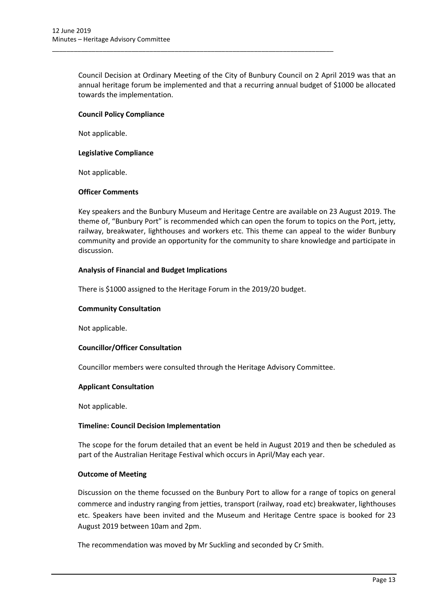Council Decision at Ordinary Meeting of the City of Bunbury Council on 2 April 2019 was that an annual heritage forum be implemented and that a recurring annual budget of \$1000 be allocated towards the implementation.

# **Council Policy Compliance**

Not applicable.

# **Legislative Compliance**

Not applicable.

# **Officer Comments**

Key speakers and the Bunbury Museum and Heritage Centre are available on 23 August 2019. The theme of, "Bunbury Port" is recommended which can open the forum to topics on the Port, jetty, railway, breakwater, lighthouses and workers etc. This theme can appeal to the wider Bunbury community and provide an opportunity for the community to share knowledge and participate in discussion.

# **Analysis of Financial and Budget Implications**

There is \$1000 assigned to the Heritage Forum in the 2019/20 budget.

\_\_\_\_\_\_\_\_\_\_\_\_\_\_\_\_\_\_\_\_\_\_\_\_\_\_\_\_\_\_\_\_\_\_\_\_\_\_\_\_\_\_\_\_\_\_\_\_\_\_\_\_\_\_\_\_\_\_\_\_\_\_\_\_\_\_\_\_\_\_\_\_\_\_\_\_\_\_

# **Community Consultation**

Not applicable.

# **Councillor/Officer Consultation**

Councillor members were consulted through the Heritage Advisory Committee.

# **Applicant Consultation**

Not applicable.

# **Timeline: Council Decision Implementation**

The scope for the forum detailed that an event be held in August 2019 and then be scheduled as part of the Australian Heritage Festival which occurs in April/May each year.

# **Outcome of Meeting**

Discussion on the theme focussed on the Bunbury Port to allow for a range of topics on general commerce and industry ranging from jetties, transport (railway, road etc) breakwater, lighthouses etc. Speakers have been invited and the Museum and Heritage Centre space is booked for 23 August 2019 between 10am and 2pm.

The recommendation was moved by Mr Suckling and seconded by Cr Smith.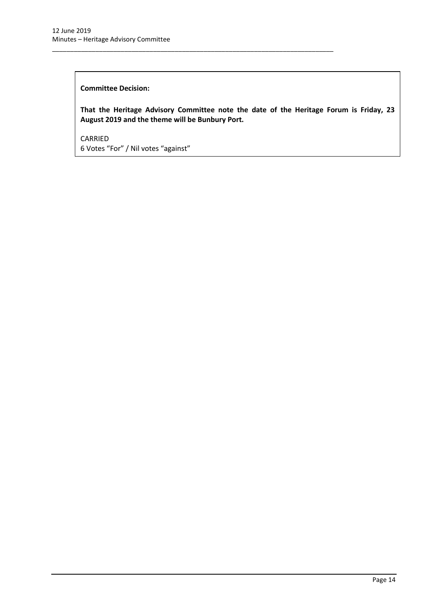# **Committee Decision:**

**That the Heritage Advisory Committee note the date of the Heritage Forum is Friday, 23 August 2019 and the theme will be Bunbury Port.**

\_\_\_\_\_\_\_\_\_\_\_\_\_\_\_\_\_\_\_\_\_\_\_\_\_\_\_\_\_\_\_\_\_\_\_\_\_\_\_\_\_\_\_\_\_\_\_\_\_\_\_\_\_\_\_\_\_\_\_\_\_\_\_\_\_\_\_\_\_\_\_\_\_\_\_\_\_\_

CARRIED 6 Votes "For" / Nil votes "against"